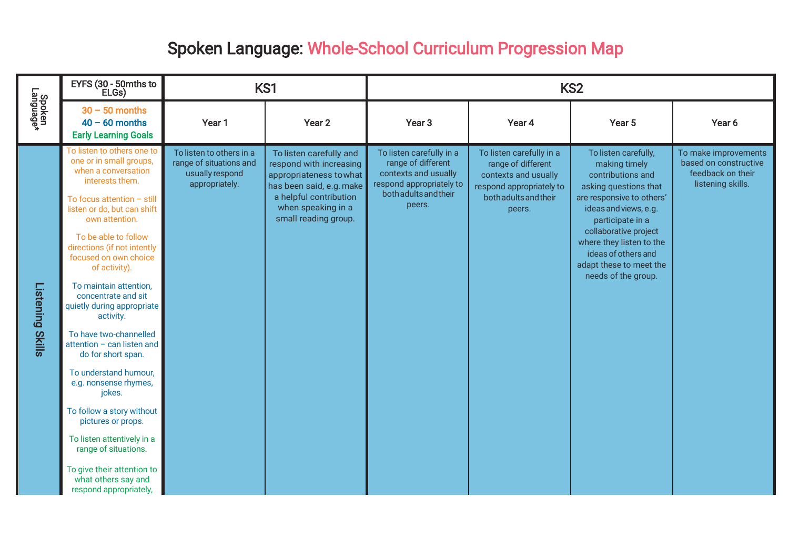## Spoken Language: Whole-School Curriculum Progression Map

| Spoken<br>Language* | EYFS (30 - 50mths to<br>ELGs)                                                                                                                                                                                                                                                                                                                                                                                                                                                                                                                                                                                                                                                                                   | KS1                                                                                      |                                                                                                                                                                                   | KS <sub>2</sub>                                                                                                                       |                                                                                                                                       |                                                                                                                                                                                                                                                                                             |                                                                                         |
|---------------------|-----------------------------------------------------------------------------------------------------------------------------------------------------------------------------------------------------------------------------------------------------------------------------------------------------------------------------------------------------------------------------------------------------------------------------------------------------------------------------------------------------------------------------------------------------------------------------------------------------------------------------------------------------------------------------------------------------------------|------------------------------------------------------------------------------------------|-----------------------------------------------------------------------------------------------------------------------------------------------------------------------------------|---------------------------------------------------------------------------------------------------------------------------------------|---------------------------------------------------------------------------------------------------------------------------------------|---------------------------------------------------------------------------------------------------------------------------------------------------------------------------------------------------------------------------------------------------------------------------------------------|-----------------------------------------------------------------------------------------|
|                     | $30 - 50$ months<br>$40 - 60$ months<br><b>Early Learning Goals</b>                                                                                                                                                                                                                                                                                                                                                                                                                                                                                                                                                                                                                                             | Year 1                                                                                   | Year <sub>2</sub>                                                                                                                                                                 | Year <sub>3</sub>                                                                                                                     | Year 4                                                                                                                                | Year 5                                                                                                                                                                                                                                                                                      | Year 6                                                                                  |
| Listening Skills    | To listen to others one to<br>one or in small groups,<br>when a conversation<br>interests them.<br>To focus attention $-$ still<br>listen or do, but can shift<br>own attention.<br>To be able to follow<br>directions (if not intently<br>focused on own choice<br>of activity).<br>To maintain attention,<br>concentrate and sit<br>quietly during appropriate<br>activity.<br>To have two-channelled<br>attention - can listen and<br>do for short span.<br>To understand humour,<br>e.g. nonsense rhymes,<br>jokes.<br>To follow a story without<br>pictures or props.<br>To listen attentively in a<br>range of situations.<br>To give their attention to<br>what others say and<br>respond appropriately, | To listen to others in a<br>range of situations and<br>usually respond<br>appropriately. | To listen carefully and<br>respond with increasing<br>appropriateness to what<br>has been said, e.g. make<br>a helpful contribution<br>when speaking in a<br>small reading group. | To listen carefully in a<br>range of different<br>contexts and usually<br>respond appropriately to<br>both adults and their<br>peers. | To listen carefully in a<br>range of different<br>contexts and usually<br>respond appropriately to<br>both adults and their<br>peers. | To listen carefully,<br>making timely<br>contributions and<br>asking questions that<br>are responsive to others'<br>ideas and views, e.g.<br>participate in a<br>collaborative project<br>where they listen to the<br>ideas of others and<br>adapt these to meet the<br>needs of the group. | To make improvements<br>based on constructive<br>feedback on their<br>listening skills. |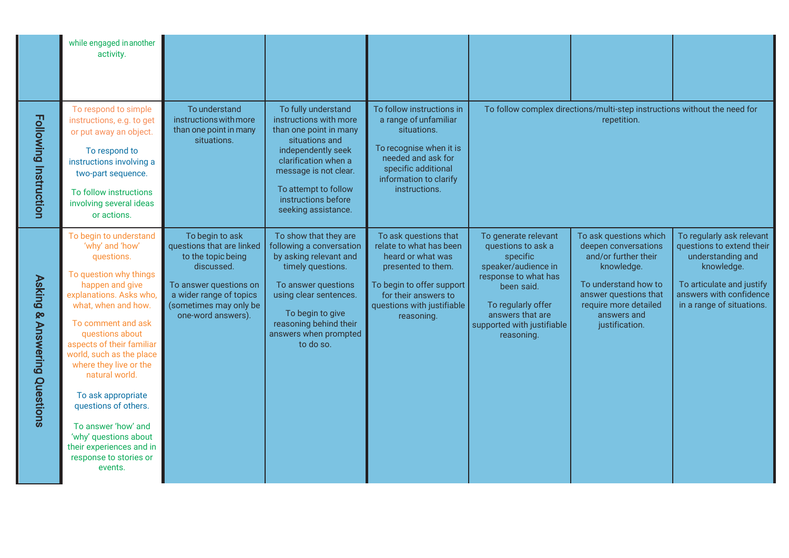|                              | while engaged in another<br>activity.                                                                                                                                                                                                                                                                                                                                                                                                                               |                                                                                                                                                                                       |                                                                                                                                                                                                                                        |                                                                                                                                                                                              |                                                                                                                                                                                                           |                                                                                                                                                                                                 |                                                                                                                                                                                |
|------------------------------|---------------------------------------------------------------------------------------------------------------------------------------------------------------------------------------------------------------------------------------------------------------------------------------------------------------------------------------------------------------------------------------------------------------------------------------------------------------------|---------------------------------------------------------------------------------------------------------------------------------------------------------------------------------------|----------------------------------------------------------------------------------------------------------------------------------------------------------------------------------------------------------------------------------------|----------------------------------------------------------------------------------------------------------------------------------------------------------------------------------------------|-----------------------------------------------------------------------------------------------------------------------------------------------------------------------------------------------------------|-------------------------------------------------------------------------------------------------------------------------------------------------------------------------------------------------|--------------------------------------------------------------------------------------------------------------------------------------------------------------------------------|
| Following Instruction        | To respond to simple<br>instructions, e.g. to get<br>or put away an object.<br>To respond to<br>instructions involving a<br>two-part sequence.<br>To follow instructions<br>involving several ideas<br>or actions.                                                                                                                                                                                                                                                  | To understand<br>instructions with more<br>than one point in many<br>situations.                                                                                                      | To fully understand<br>instructions with more<br>than one point in many<br>situations and<br>independently seek<br>clarification when a<br>message is not clear.<br>To attempt to follow<br>instructions before<br>seeking assistance. | To follow instructions in<br>a range of unfamiliar<br>situations.<br>To recognise when it is<br>needed and ask for<br>specific additional<br>information to clarify<br>instructions.         |                                                                                                                                                                                                           | To follow complex directions/multi-step instructions without the need for<br>repetition.                                                                                                        |                                                                                                                                                                                |
| Asking & Answering Questions | To begin to understand<br>'why' and 'how'<br>questions.<br>To question why things<br>happen and give<br>explanations. Asks who,<br>what, when and how.<br>To comment and ask<br>questions about<br>aspects of their familiar<br>world, such as the place<br>where they live or the<br>natural world.<br>To ask appropriate<br>questions of others.<br>To answer 'how' and<br>'why' questions about<br>their experiences and in<br>response to stories or<br>events. | To begin to ask<br>questions that are linked<br>to the topic being<br>discussed.<br>To answer questions on<br>a wider range of topics<br>(sometimes may only be<br>one-word answers). | To show that they are<br>following a conversation<br>by asking relevant and<br>timely questions.<br>To answer questions<br>using clear sentences.<br>To begin to give<br>reasoning behind their<br>answers when prompted<br>to do so.  | To ask questions that<br>relate to what has been<br>heard or what was<br>presented to them.<br>To begin to offer support<br>for their answers to<br>questions with justifiable<br>reasoning. | To generate relevant<br>questions to ask a<br>specific<br>speaker/audience in<br>response to what has<br>been said.<br>To regularly offer<br>answers that are<br>supported with justifiable<br>reasoning. | To ask questions which<br>deepen conversations<br>and/or further their<br>knowledge.<br>To understand how to<br>answer questions that<br>require more detailed<br>answers and<br>justification. | To regularly ask relevant<br>questions to extend their<br>understanding and<br>knowledge.<br>To articulate and justify<br>answers with confidence<br>in a range of situations. |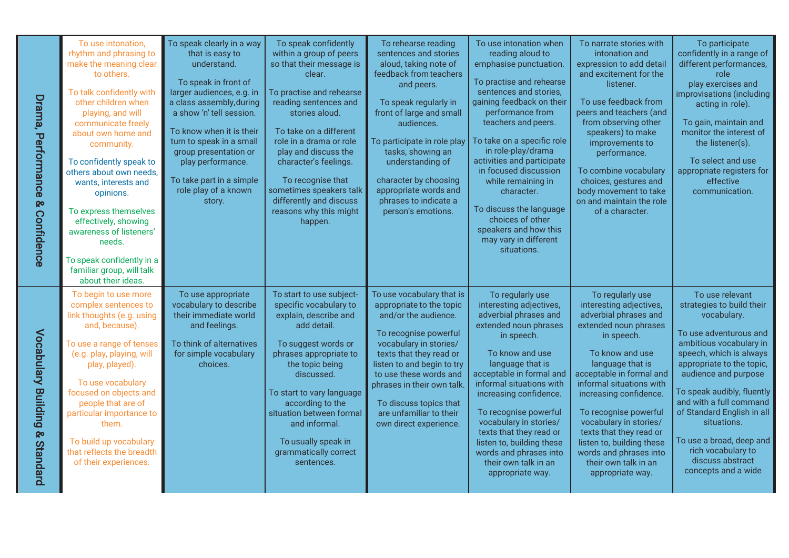| Drama, Performance & Confidence | To use intonation,<br>rhythm and phrasing to<br>make the meaning clear<br>to others.<br>To talk confidently with<br>other children when<br>playing, and will<br>communicate freely<br>about own home and<br>community.<br>To confidently speak to<br>others about own needs.<br>wants, interests and<br>opinions.<br>To express themselves<br>effectively, showing<br>awareness of listeners' | To speak clearly in a way<br>that is easy to<br>understand.<br>To speak in front of<br>larger audiences, e.g. in<br>a class assembly, during<br>a show 'n' tell session.<br>To know when it is their<br>turn to speak in a small<br>group presentation or<br>play performance.<br>To take part in a simple<br>role play of a known<br>story. | To speak confidently<br>within a group of peers<br>so that their message is<br>clear.<br>To practise and rehearse<br>reading sentences and<br>stories aloud.<br>To take on a different<br>role in a drama or role<br>play and discuss the<br>character's feelings.<br>To recognise that<br>sometimes speakers talk<br>differently and discuss<br>reasons why this might<br>happen. | To rehearse reading<br>sentences and stories<br>aloud, taking note of<br>feedback from teachers<br>and peers.<br>To speak regularly in<br>front of large and small<br>audiences.<br>To participate in role play<br>tasks, showing an<br>understanding of<br>character by choosing<br>appropriate words and<br>phrases to indicate a<br>person's emotions. | To use intonation when<br>reading aloud to<br>emphasise punctuation.<br>To practise and rehearse<br>sentences and stories,<br>gaining feedback on their<br>performance from<br>teachers and peers.<br>To take on a specific role<br>in role-play/drama<br>activities and participate<br>in focused discussion<br>while remaining in<br>character.<br>To discuss the language<br>choices of other<br>speakers and how this | To narrate stories with<br>intonation and<br>expression to add detail<br>and excitement for the<br>listener.<br>To use feedback from<br>peers and teachers (and<br>from observing other<br>speakers) to make<br>improvements to<br>performance.<br>To combine vocabulary<br>choices, gestures and<br>body movement to take<br>on and maintain the role<br>of a character.                                             | To participate<br>confidently in a range of<br>different performances,<br>role<br>play exercises and<br>improvisations (including<br>acting in role).<br>To gain, maintain and<br>monitor the interest of<br>the listener(s).<br>To select and use<br>appropriate registers for<br>effective<br>communication.                                                                                      |
|---------------------------------|-----------------------------------------------------------------------------------------------------------------------------------------------------------------------------------------------------------------------------------------------------------------------------------------------------------------------------------------------------------------------------------------------|----------------------------------------------------------------------------------------------------------------------------------------------------------------------------------------------------------------------------------------------------------------------------------------------------------------------------------------------|------------------------------------------------------------------------------------------------------------------------------------------------------------------------------------------------------------------------------------------------------------------------------------------------------------------------------------------------------------------------------------|-----------------------------------------------------------------------------------------------------------------------------------------------------------------------------------------------------------------------------------------------------------------------------------------------------------------------------------------------------------|---------------------------------------------------------------------------------------------------------------------------------------------------------------------------------------------------------------------------------------------------------------------------------------------------------------------------------------------------------------------------------------------------------------------------|-----------------------------------------------------------------------------------------------------------------------------------------------------------------------------------------------------------------------------------------------------------------------------------------------------------------------------------------------------------------------------------------------------------------------|-----------------------------------------------------------------------------------------------------------------------------------------------------------------------------------------------------------------------------------------------------------------------------------------------------------------------------------------------------------------------------------------------------|
|                                 | needs.<br>To speak confidently in a<br>familiar group, will talk<br>about their ideas.                                                                                                                                                                                                                                                                                                        |                                                                                                                                                                                                                                                                                                                                              |                                                                                                                                                                                                                                                                                                                                                                                    |                                                                                                                                                                                                                                                                                                                                                           | may vary in different<br>situations.                                                                                                                                                                                                                                                                                                                                                                                      |                                                                                                                                                                                                                                                                                                                                                                                                                       |                                                                                                                                                                                                                                                                                                                                                                                                     |
| Vocabulary Building & Standard  | To begin to use more<br>complex sentences to<br>link thoughts (e.g. using<br>and, because).<br>To use a range of tenses<br>(e.g. play, playing, will<br>play, played).<br>To use vocabulary<br>focused on objects and<br>people that are of<br>particular importance to<br>them.<br>To build up vocabulary<br>that reflects the breadth<br>of their experiences.                              | To use appropriate<br>vocabulary to describe<br>their immediate world<br>and feelings.<br>To think of alternatives<br>for simple vocabulary<br>choices.                                                                                                                                                                                      | To start to use subject-<br>specific vocabulary to<br>explain, describe and<br>add detail.<br>To suggest words or<br>phrases appropriate to<br>the topic being<br>discussed.<br>To start to vary language<br>according to the<br>situation between formal<br>and informal.<br>To usually speak in<br>grammatically correct<br>sentences.                                           | To use vocabulary that is<br>appropriate to the topic<br>and/or the audience.<br>To recognise powerful<br>vocabulary in stories/<br>texts that they read or<br>listen to and begin to try<br>to use these words and<br>phrases in their own talk.<br>To discuss topics that<br>are unfamiliar to their<br>own direct experience.                          | To regularly use<br>interesting adjectives,<br>adverbial phrases and<br>extended noun phrases<br>in speech.<br>To know and use<br>language that is<br>acceptable in formal and<br>informal situations with<br>increasing confidence.<br>To recognise powerful<br>vocabulary in stories/<br>texts that they read or<br>listen to, building these<br>words and phrases into<br>their own talk in an<br>appropriate way.     | To regularly use<br>interesting adjectives,<br>adverbial phrases and<br>extended noun phrases<br>in speech.<br>To know and use<br>language that is<br>acceptable in formal and<br>informal situations with<br>increasing confidence.<br>To recognise powerful<br>vocabulary in stories/<br>texts that they read or<br>listen to, building these<br>words and phrases into<br>their own talk in an<br>appropriate way. | To use relevant<br>strategies to build their<br>vocabulary.<br>To use adventurous and<br>ambitious vocabulary in<br>speech, which is always<br>appropriate to the topic,<br>audience and purpose<br>To speak audibly, fluently<br>and with a full command<br>of Standard English in all<br>situations.<br>To use a broad, deep and<br>rich vocabulary to<br>discuss abstract<br>concepts and a wide |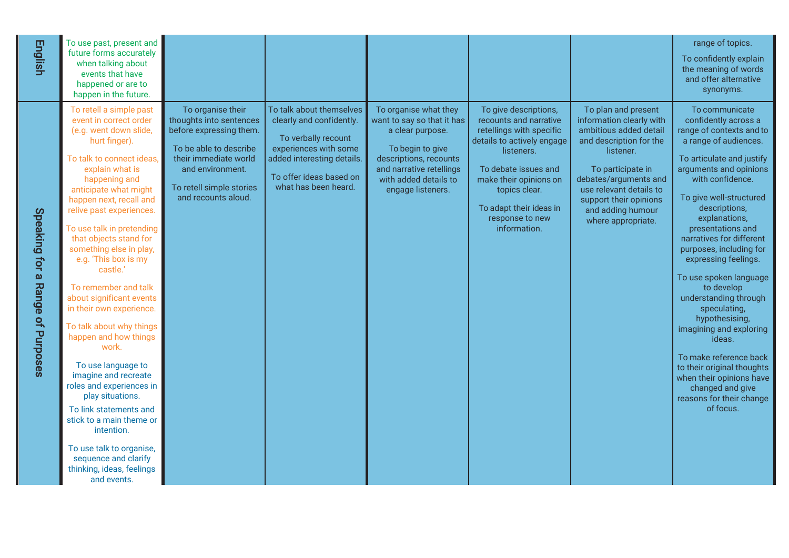| <b>English</b>                   | To use past, present and<br>future forms accurately<br>when talking about<br>events that have<br>happened or are to<br>happen in the future.                                                                                                                                                                                                                                                                                                                                                                                                                                                                                                                                                                                                                                        |                                                                                                                                                                                                   |                                                                                                                                                                                       |                                                                                                                                                                                                 |                                                                                                                                                                                                                                                          |                                                                                                                                                                                                                                                                 | range of topics.<br>To confidently explain<br>the meaning of words<br>and offer alternative<br>synonyms.                                                                                                                                                                                                                                                                                                                                                                                                                                                                                                                         |
|----------------------------------|-------------------------------------------------------------------------------------------------------------------------------------------------------------------------------------------------------------------------------------------------------------------------------------------------------------------------------------------------------------------------------------------------------------------------------------------------------------------------------------------------------------------------------------------------------------------------------------------------------------------------------------------------------------------------------------------------------------------------------------------------------------------------------------|---------------------------------------------------------------------------------------------------------------------------------------------------------------------------------------------------|---------------------------------------------------------------------------------------------------------------------------------------------------------------------------------------|-------------------------------------------------------------------------------------------------------------------------------------------------------------------------------------------------|----------------------------------------------------------------------------------------------------------------------------------------------------------------------------------------------------------------------------------------------------------|-----------------------------------------------------------------------------------------------------------------------------------------------------------------------------------------------------------------------------------------------------------------|----------------------------------------------------------------------------------------------------------------------------------------------------------------------------------------------------------------------------------------------------------------------------------------------------------------------------------------------------------------------------------------------------------------------------------------------------------------------------------------------------------------------------------------------------------------------------------------------------------------------------------|
| Speaking for a Range of Purposes | To retell a simple past<br>event in correct order<br>(e.g. went down slide,<br>hurt finger).<br>To talk to connect ideas.<br>explain what is<br>happening and<br>anticipate what might<br>happen next, recall and<br>relive past experiences.<br>To use talk in pretending<br>that objects stand for<br>something else in play,<br>e.g. 'This box is my<br>castle.'<br>To remember and talk<br>about significant events<br>in their own experience.<br>To talk about why things<br>happen and how things<br>work.<br>To use language to<br>imagine and recreate<br>roles and experiences in<br>play situations.<br>To link statements and<br>stick to a main theme or<br>intention.<br>To use talk to organise,<br>sequence and clarify<br>thinking, ideas, feelings<br>and events. | To organise their<br>thoughts into sentences<br>before expressing them.<br>To be able to describe<br>their immediate world<br>and environment.<br>To retell simple stories<br>and recounts aloud. | To talk about themselves<br>clearly and confidently.<br>To verbally recount<br>experiences with some<br>added interesting details.<br>To offer ideas based on<br>what has been heard. | To organise what they<br>want to say so that it has<br>a clear purpose.<br>To begin to give<br>descriptions, recounts<br>and narrative retellings<br>with added details to<br>engage listeners. | To give descriptions,<br>recounts and narrative<br>retellings with specific<br>details to actively engage<br>listeners.<br>To debate issues and<br>make their opinions on<br>topics clear.<br>To adapt their ideas in<br>response to new<br>information. | To plan and present<br>information clearly with<br>ambitious added detail<br>and description for the<br>listener.<br>To participate in<br>debates/arguments and<br>use relevant details to<br>support their opinions<br>and adding humour<br>where appropriate. | To communicate<br>confidently across a<br>range of contexts and to<br>a range of audiences.<br>To articulate and justify<br>arguments and opinions<br>with confidence.<br>To give well-structured<br>descriptions,<br>explanations,<br>presentations and<br>narratives for different<br>purposes, including for<br>expressing feelings.<br>To use spoken language<br>to develop<br>understanding through<br>speculating,<br>hypothesising,<br>imagining and exploring<br>ideas.<br>To make reference back<br>to their original thoughts<br>when their opinions have<br>changed and give<br>reasons for their change<br>of focus. |